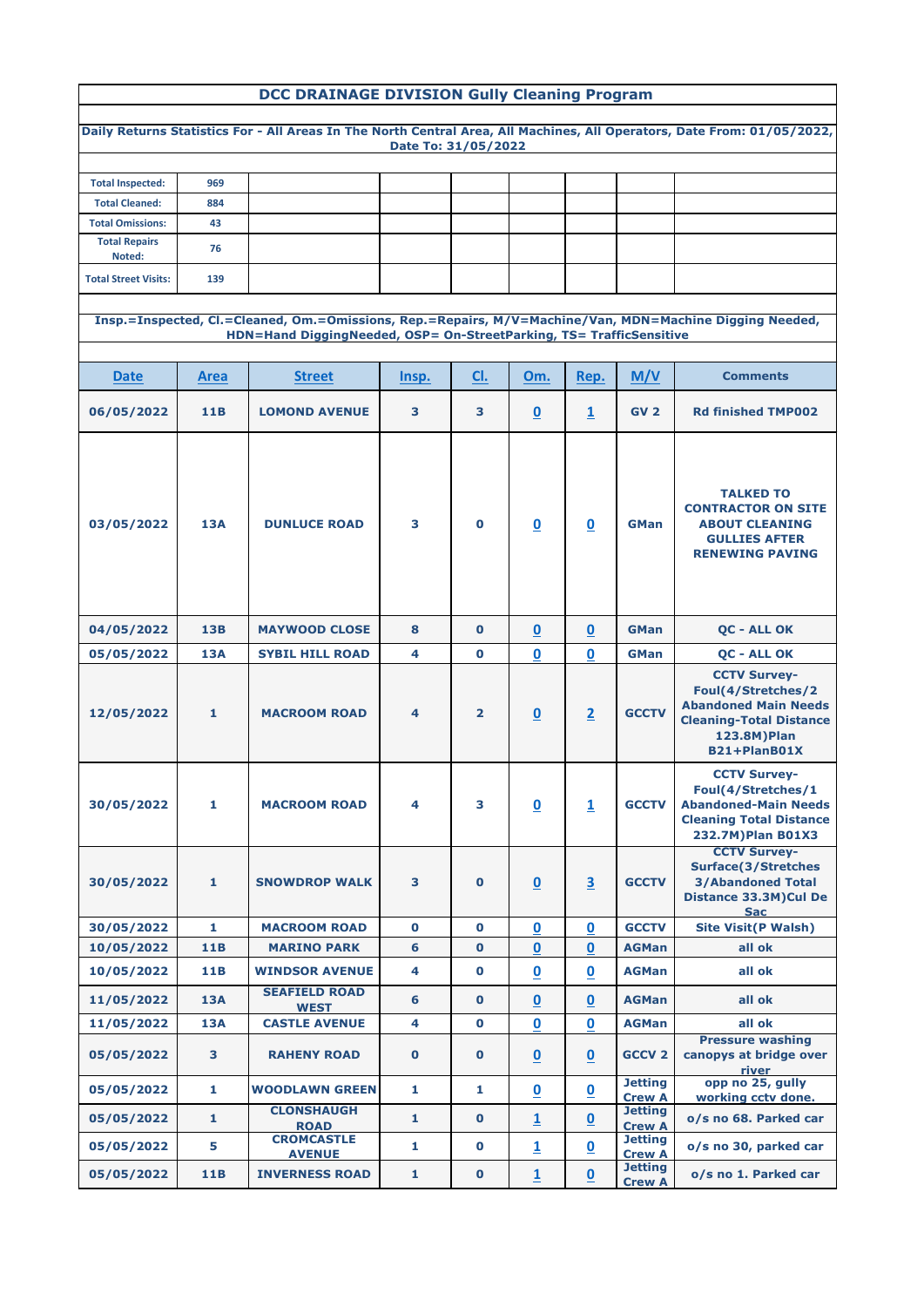## **DCC DRAINAGE DIVISION Gully Cleaning Program**

|                                |                 |                                                                     | Date To: 31/05/2022     |                |                          |                          |                                 | Daily Returns Statistics For - All Areas In The North Central Area, All Machines, All Operators, Date From: 01/05/2022,                   |
|--------------------------------|-----------------|---------------------------------------------------------------------|-------------------------|----------------|--------------------------|--------------------------|---------------------------------|-------------------------------------------------------------------------------------------------------------------------------------------|
|                                |                 |                                                                     |                         |                |                          |                          |                                 |                                                                                                                                           |
| <b>Total Inspected:</b>        | 969             |                                                                     |                         |                |                          |                          |                                 |                                                                                                                                           |
| <b>Total Cleaned:</b>          | 884             |                                                                     |                         |                |                          |                          |                                 |                                                                                                                                           |
| <b>Total Omissions:</b>        | 43              |                                                                     |                         |                |                          |                          |                                 |                                                                                                                                           |
| <b>Total Repairs</b><br>Noted: | 76              |                                                                     |                         |                |                          |                          |                                 |                                                                                                                                           |
| <b>Total Street Visits:</b>    | 139             |                                                                     |                         |                |                          |                          |                                 |                                                                                                                                           |
|                                |                 |                                                                     |                         |                |                          |                          |                                 | Insp.=Inspected, Cl.=Cleaned, Om.=Omissions, Rep.=Repairs, M/V=Machine/Van, MDN=Machine Digging Needed,                                   |
|                                |                 | HDN=Hand DiggingNeeded, OSP= On-StreetParking, TS= TrafficSensitive |                         |                |                          |                          |                                 |                                                                                                                                           |
|                                |                 |                                                                     |                         |                |                          |                          |                                 |                                                                                                                                           |
| <b>Date</b>                    | <b>Area</b>     | <b>Street</b>                                                       | Insp.                   | CI.            | Om.                      | Rep.                     | M/V                             | <b>Comments</b>                                                                                                                           |
| 06/05/2022                     | 11 <sub>B</sub> | <b>LOMOND AVENUE</b>                                                | $\overline{\mathbf{3}}$ | 3              | $\overline{\mathbf{0}}$  | $\overline{1}$           | GV <sub>2</sub>                 | <b>Rd finished TMP002</b>                                                                                                                 |
| 03/05/2022                     | <b>13A</b>      | <b>DUNLUCE ROAD</b>                                                 | 3                       | $\bf{0}$       | $\boldsymbol{0}$         | $\boldsymbol{0}$         | <b>GMan</b>                     | <b>TALKED TO</b><br><b>CONTRACTOR ON SITE</b><br><b>ABOUT CLEANING</b><br><b>GULLIES AFTER</b><br><b>RENEWING PAVING</b>                  |
| 04/05/2022                     | <b>13B</b>      | <b>MAYWOOD CLOSE</b>                                                | 8                       | $\bf{0}$       | $\bf{0}$                 | $\bf{0}$                 | <b>GMan</b>                     | <b>QC - ALL OK</b>                                                                                                                        |
| 05/05/2022                     | <b>13A</b>      | <b>SYBIL HILL ROAD</b>                                              | 4                       | $\bf{0}$       | $\bf{0}$                 | $\bf{0}$                 | <b>GMan</b>                     | <b>QC - ALL OK</b>                                                                                                                        |
| 12/05/2022                     | $\mathbf{1}$    | <b>MACROOM ROAD</b>                                                 | 4                       | $\overline{2}$ | $\overline{\mathbf{0}}$  | $\overline{2}$           | <b>GCCTV</b>                    | <b>CCTV Survey-</b><br>Foul(4/Stretches/2<br><b>Abandoned Main Needs</b><br><b>Cleaning-Total Distance</b><br>123.8M)Plan<br>B21+PlanB01X |
| 30/05/2022                     | 1               | <b>MACROOM ROAD</b>                                                 | 4                       | 3              | $\overline{\mathbf{0}}$  | $\overline{1}$           | <b>GCCTV</b>                    | <b>CCTV Survey-</b><br>Foul(4/Stretches/1<br><b>Abandoned-Main Needs</b><br><b>Cleaning Total Distance</b><br>232.7M)Plan B01X3           |
| 30/05/2022                     | 1               | <b>SNOWDROP WALK</b>                                                | $\mathbf{3}$            | $\bf{0}$       | $\underline{\mathbf{0}}$ | $\overline{\mathbf{3}}$  | <b>GCCTV</b>                    | <b>CCTV Survey-</b><br><b>Surface(3/Stretches</b><br><b>3/Abandoned Total</b><br>Distance 33.3M) Cul De<br><b>Sac</b>                     |
| 30/05/2022                     | $\mathbf{1}$    | <b>MACROOM ROAD</b>                                                 | $\mathbf 0$             | $\bf{0}$       | $\mathbf 0$              | $\mathbf 0$              | <b>GCCTV</b>                    | <b>Site Visit(P Walsh)</b>                                                                                                                |
| 10/05/2022                     | 11B             | <b>MARINO PARK</b>                                                  | 6                       | $\bf{0}$       | $\mathbf 0$              | $\mathbf 0$              | <b>AGMan</b>                    | all ok                                                                                                                                    |
| 10/05/2022                     | <b>11B</b>      | <b>WINDSOR AVENUE</b>                                               | 4                       | $\bf{0}$       | $\mathbf 0$              | $\boldsymbol{0}$         | <b>AGMan</b>                    | all ok                                                                                                                                    |
| 11/05/2022                     | 13A             | <b>SEAFIELD ROAD</b><br><b>WEST</b>                                 | 6                       | $\bf{0}$       | $\overline{\mathbf{0}}$  | $\mathbf 0$              | <b>AGMan</b>                    | all ok                                                                                                                                    |
| 11/05/2022                     | <b>13A</b>      | <b>CASTLE AVENUE</b>                                                | $\overline{\mathbf{4}}$ | $\mathbf 0$    | $\mathbf 0$              | $\mathbf 0$              | <b>AGMan</b>                    | all ok                                                                                                                                    |
| 05/05/2022                     | 3               | <b>RAHENY ROAD</b>                                                  | $\mathbf 0$             | $\bf{0}$       | $\overline{\mathbf{0}}$  | $\overline{\mathbf{0}}$  | <b>GCCV 2</b>                   | <b>Pressure washing</b><br>canopys at bridge over<br>river                                                                                |
| 05/05/2022                     | $\mathbf{1}$    | <b>WOODLAWN GREEN</b>                                               | 1                       | 1              | $\overline{\mathbf{0}}$  | $\overline{\mathbf{0}}$  | <b>Jetting</b><br><b>Crew A</b> | opp no 25, gully<br>working cctv done.                                                                                                    |
| 05/05/2022                     | $\mathbf{1}$    | <b>CLONSHAUGH</b><br><b>ROAD</b>                                    | $\mathbf{1}$            | $\bf{0}$       | $\mathbf{1}$             | $\overline{\mathbf{0}}$  | <b>Jetting</b><br><b>Crew A</b> | o/s no 68. Parked car                                                                                                                     |
| 05/05/2022                     | 5               | <b>CROMCASTLE</b><br><b>AVENUE</b>                                  | $\mathbf{1}$            | $\bf{0}$       | $\mathbf{1}$             | $\underline{\mathbf{0}}$ | <b>Jetting</b><br><b>Crew A</b> | o/s no 30, parked car                                                                                                                     |
| 05/05/2022                     | <b>11B</b>      | <b>INVERNESS ROAD</b>                                               | $\mathbf{1}$            | $\bf{0}$       | $\overline{1}$           | $\overline{\mathbf{0}}$  | <b>Jetting</b><br><b>Crew A</b> | o/s no 1. Parked car                                                                                                                      |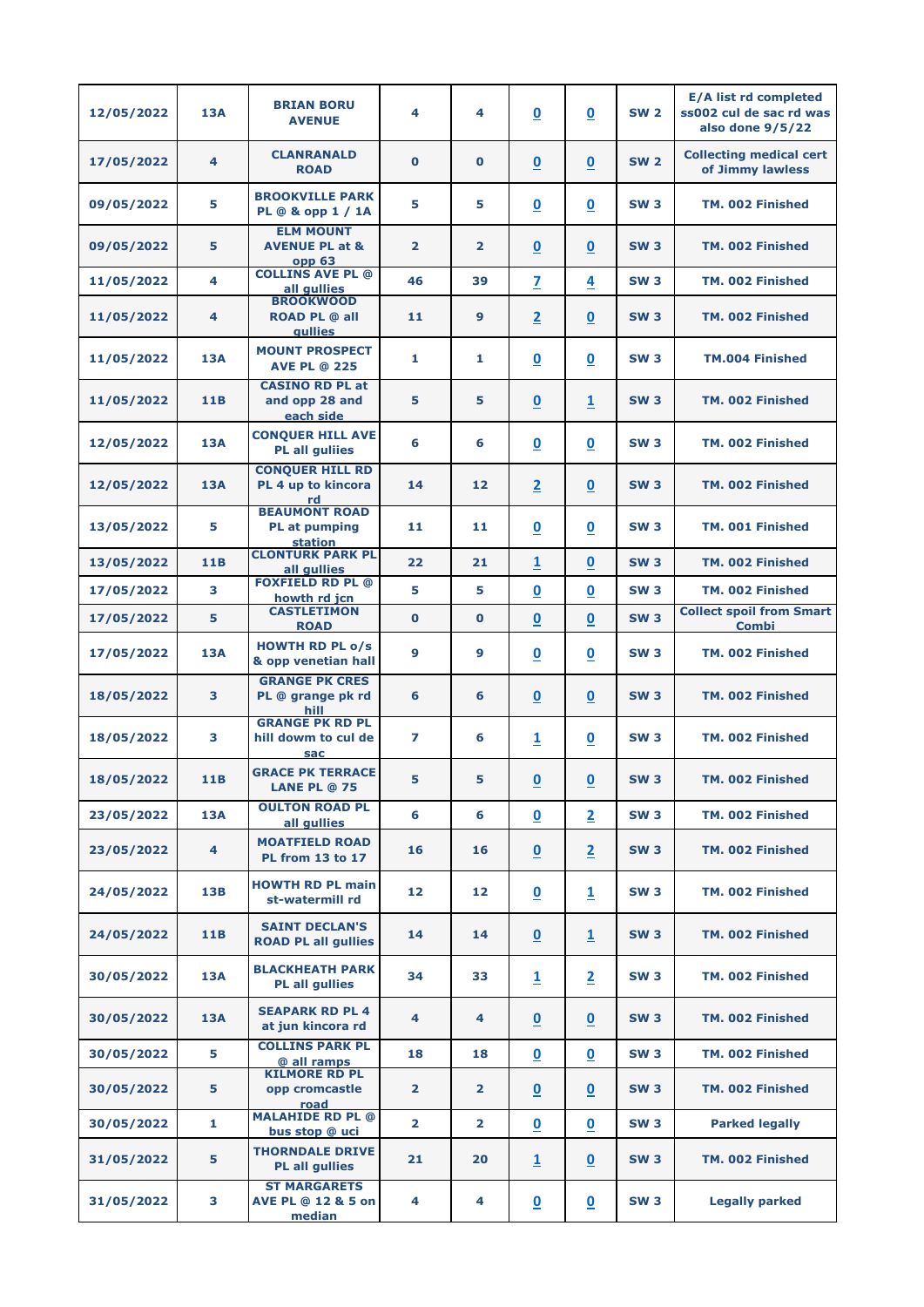| 12/05/2022 | <b>13A</b>              | <b>BRIAN BORU</b><br><b>AVENUE</b>                                 | 4              | 4              | $\overline{\mathbf{0}}$  | $\overline{\mathbf{0}}$  | <b>SW 2</b> | <b>E/A list rd completed</b><br>ss002 cul de sac rd was<br>also done 9/5/22 |
|------------|-------------------------|--------------------------------------------------------------------|----------------|----------------|--------------------------|--------------------------|-------------|-----------------------------------------------------------------------------|
| 17/05/2022 | 4                       | <b>CLANRANALD</b><br><b>ROAD</b>                                   | $\bf{0}$       | $\bf{0}$       | $\underline{\mathbf{0}}$ | $\overline{\mathbf{0}}$  | <b>SW 2</b> | <b>Collecting medical cert</b><br>of Jimmy lawless                          |
| 09/05/2022 | 5                       | <b>BROOKVILLE PARK</b><br>PL @ & opp 1 / 1A                        | 5              | 5              | $\underline{\mathbf{0}}$ | $\overline{\mathbf{0}}$  | <b>SW3</b>  | TM. 002 Finished                                                            |
| 09/05/2022 | 5                       | <b>ELM MOUNT</b><br><b>AVENUE PL at &amp;</b><br>opp <sub>63</sub> | $\overline{2}$ | $\overline{2}$ | $\underline{\mathbf{0}}$ | $\overline{\mathbf{0}}$  | <b>SW3</b>  | TM. 002 Finished                                                            |
| 11/05/2022 | 4                       | <b>COLLINS AVE PL @</b><br>all qullies                             | 46             | 39             | $\overline{\mathbf{z}}$  | 4                        | <b>SW3</b>  | TM. 002 Finished                                                            |
| 11/05/2022 | 4                       | <b>BROOKWOOD</b><br><b>ROAD PL @ all</b><br><b>gullies</b>         | 11             | 9              | $\overline{2}$           | $\overline{\mathbf{0}}$  | <b>SW3</b>  | TM. 002 Finished                                                            |
| 11/05/2022 | <b>13A</b>              | <b>MOUNT PROSPECT</b><br><b>AVE PL @ 225</b>                       | 1              | 1              | $\overline{\mathbf{0}}$  | $\overline{\mathbf{0}}$  | <b>SW3</b>  | TM.004 Finished                                                             |
| 11/05/2022 | <b>11B</b>              | <b>CASINO RD PL at</b><br>and opp 28 and<br>each side              | 5              | 5              | $\underline{\mathbf{0}}$ | $\overline{1}$           | <b>SW3</b>  | TM. 002 Finished                                                            |
| 12/05/2022 | <b>13A</b>              | <b>CONQUER HILL AVE</b><br><b>PL all guliies</b>                   | 6              | 6              | $\underline{\mathbf{0}}$ | $\overline{\mathbf{0}}$  | <b>SW3</b>  | TM. 002 Finished                                                            |
| 12/05/2022 | <b>13A</b>              | <b>CONQUER HILL RD</b><br>PL 4 up to kincora<br>rd                 | 14             | 12             | $\overline{2}$           | $\overline{\mathbf{0}}$  | <b>SW3</b>  | TM. 002 Finished                                                            |
| 13/05/2022 | 5                       | <b>BEAUMONT ROAD</b><br><b>PL</b> at pumping<br>station            | 11             | 11             | $\overline{\mathbf{0}}$  | $\boldsymbol{0}$         | <b>SW3</b>  | <b>TM. 001 Finished</b>                                                     |
| 13/05/2022 | 11B                     | <b>CLONTURK PARK PL</b><br>all gullies                             | 22             | 21             | $\overline{1}$           | $\overline{\mathbf{0}}$  | <b>SW3</b>  | TM. 002 Finished                                                            |
| 17/05/2022 | 3                       | <b>FOXFIELD RD PL @</b><br>howth rd jcn                            | 5              | 5              | $\overline{\mathbf{0}}$  | $\overline{\mathbf{0}}$  | <b>SW3</b>  | TM. 002 Finished                                                            |
| 17/05/2022 | 5                       | <b>CASTLETIMON</b><br><b>ROAD</b>                                  | $\mathbf 0$    | $\mathbf 0$    | $\pmb{0}$                | $\bf{0}$                 | <b>SW3</b>  | <b>Collect spoil from Smart</b><br><b>Combi</b>                             |
| 17/05/2022 | <b>13A</b>              | <b>HOWTH RD PL o/s</b><br>& opp venetian hall                      | 9              | 9              | $\underline{\mathbf{0}}$ | $\boldsymbol{0}$         | <b>SW3</b>  | TM. 002 Finished                                                            |
| 18/05/2022 | 3                       | <b>GRANGE PK CRES</b><br>PL @ grange pk rd<br>hill                 | 6              | 6              | $\underline{\mathbf{0}}$ | $\overline{\mathbf{0}}$  | <b>SW3</b>  | TM. 002 Finished                                                            |
| 18/05/2022 | 3                       | <b>GRANGE PK RD PL</b><br>hill dowm to cul de<br>sac               | 7              | 6              | $\overline{\mathbf{1}}$  | $\overline{\mathbf{0}}$  | <b>SW3</b>  | TM. 002 Finished                                                            |
| 18/05/2022 | <b>11B</b>              | <b>GRACE PK TERRACE</b><br><b>LANE PL @ 75</b>                     | 5              | 5              | $\underline{\mathbf{0}}$ | $\underline{\mathbf{0}}$ | <b>SW3</b>  | TM. 002 Finished                                                            |
| 23/05/2022 | <b>13A</b>              | <b>OULTON ROAD PL</b><br>all gullies                               | 6              | 6              | $\underline{\mathbf{0}}$ | $\overline{\mathbf{2}}$  | <b>SW3</b>  | TM. 002 Finished                                                            |
| 23/05/2022 | $\overline{\mathbf{4}}$ | <b>MOATFIELD ROAD</b><br><b>PL from 13 to 17</b>                   | 16             | 16             | $\underline{\mathbf{0}}$ | $\overline{2}$           | <b>SW3</b>  | TM. 002 Finished                                                            |
| 24/05/2022 | 13B                     | <b>HOWTH RD PL main</b><br>st-watermill rd                         | 12             | 12             | $\underline{\mathbf{0}}$ | $\overline{1}$           | <b>SW3</b>  | TM. 002 Finished                                                            |
| 24/05/2022 | <b>11B</b>              | <b>SAINT DECLAN'S</b><br><b>ROAD PL all gullies</b>                | 14             | 14             | $\underline{\mathbf{0}}$ | $\overline{1}$           | <b>SW3</b>  | TM. 002 Finished                                                            |
| 30/05/2022 | 13A                     | <b>BLACKHEATH PARK</b><br><b>PL all gullies</b>                    | 34             | 33             | $\overline{\mathbf{1}}$  | $\overline{2}$           | <b>SW3</b>  | TM. 002 Finished                                                            |
| 30/05/2022 | <b>13A</b>              | <b>SEAPARK RD PL 4</b><br>at jun kincora rd                        | 4              | 4              | $\underline{\mathbf{0}}$ | $\underline{\mathbf{0}}$ | <b>SW3</b>  | TM. 002 Finished                                                            |
| 30/05/2022 | 5                       | <b>COLLINS PARK PL</b><br>@ all ramps                              | 18             | 18             | $\underline{\mathbf{0}}$ | $\overline{\mathbf{0}}$  | <b>SW3</b>  | TM. 002 Finished                                                            |
| 30/05/2022 | 5                       | <b>KILMORE RD PL</b><br>opp cromcastle<br>road                     | $\overline{2}$ | $\overline{2}$ | $\underline{\mathbf{0}}$ | $\overline{\mathbf{0}}$  | <b>SW3</b>  | TM. 002 Finished                                                            |
| 30/05/2022 | $\mathbf{1}$            | <b>MALAHIDE RD PL @</b><br>bus stop @ uci                          | $\overline{2}$ | $\overline{2}$ | $\underline{\mathbf{0}}$ | $\overline{\mathbf{0}}$  | <b>SW3</b>  | <b>Parked legally</b>                                                       |
| 31/05/2022 | 5                       | <b>THORNDALE DRIVE</b><br><b>PL all gullies</b>                    | 21             | 20             | $\overline{\mathbf{1}}$  | $\overline{\mathbf{0}}$  | <b>SW3</b>  | TM. 002 Finished                                                            |
| 31/05/2022 | 3                       | <b>ST MARGARETS</b><br><b>AVE PL @ 12 &amp; 5 on</b><br>median     | 4              | 4              | $\overline{\mathbf{0}}$  | $\overline{\mathbf{0}}$  | <b>SW3</b>  | <b>Legally parked</b>                                                       |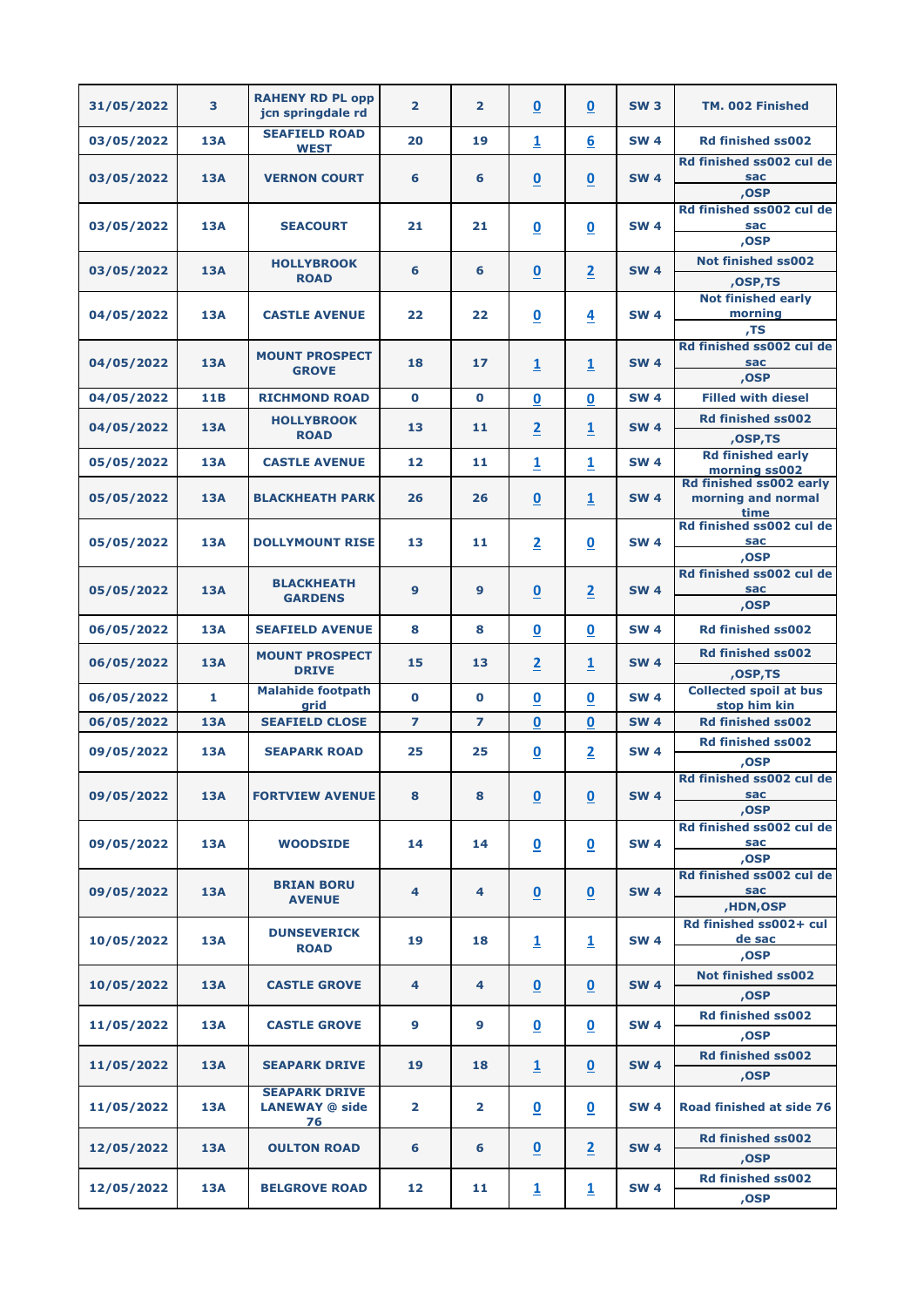| 31/05/2022 | 3          | <b>RAHENY RD PL opp</b><br>jcn springdale rd        | $\overline{2}$          | $\overline{2}$ | $\underline{\mathbf{0}}$ | $\overline{\mathbf{0}}$  | <b>SW3</b>  | TM. 002 Finished                                      |
|------------|------------|-----------------------------------------------------|-------------------------|----------------|--------------------------|--------------------------|-------------|-------------------------------------------------------|
| 03/05/2022 | <b>13A</b> | <b>SEAFIELD ROAD</b><br><b>WEST</b>                 | 20                      | 19             | $\overline{\mathbf{1}}$  | $6 \overline{6}$         | <b>SW 4</b> | <b>Rd finished ss002</b>                              |
| 03/05/2022 | <b>13A</b> | <b>VERNON COURT</b>                                 | 6                       | 6              | $\overline{\mathbf{0}}$  | $\mathbf 0$              | <b>SW 4</b> | Rd finished ss002 cul de<br><b>sac</b><br>,OSP        |
| 03/05/2022 | <b>13A</b> | <b>SEACOURT</b>                                     | 21                      | 21             | $\underline{\mathbf{0}}$ | $\underline{\mathbf{0}}$ | <b>SW 4</b> | Rd finished ss002 cul de<br>sac<br>,OSP               |
| 03/05/2022 | 13A        | <b>HOLLYBROOK</b><br><b>ROAD</b>                    | 6                       | 6              | $\underline{\mathbf{0}}$ | $\overline{2}$           | <b>SW 4</b> | <b>Not finished ss002</b><br>,OSP,TS                  |
| 04/05/2022 | <b>13A</b> | <b>CASTLE AVENUE</b>                                | 22                      | 22             | $\underline{\mathbf{0}}$ | $\overline{4}$           | <b>SW 4</b> | <b>Not finished early</b><br>morning<br>TS,           |
| 04/05/2022 | <b>13A</b> | <b>MOUNT PROSPECT</b><br><b>GROVE</b>               | 18                      | 17             | $\overline{\mathbf{1}}$  | $\overline{\mathbf{1}}$  | <b>SW 4</b> | Rd finished ss002 cul de<br>sac<br>,OSP               |
| 04/05/2022 | 11B        | <b>RICHMOND ROAD</b>                                | $\mathbf 0$             | $\mathbf 0$    | $\mathbf 0$              | 0                        | <b>SW 4</b> | <b>Filled with diesel</b>                             |
| 04/05/2022 | <b>13A</b> | <b>HOLLYBROOK</b>                                   | 13                      | 11             | $\overline{2}$           |                          | <b>SW 4</b> | <b>Rd finished ss002</b>                              |
|            |            | <b>ROAD</b>                                         |                         |                |                          | $\overline{\mathbf{1}}$  |             | ,OSP,TS                                               |
| 05/05/2022 | <b>13A</b> | <b>CASTLE AVENUE</b>                                | 12                      | 11             | $\overline{1}$           | $\overline{\mathbf{1}}$  | <b>SW 4</b> | <b>Rd finished early</b><br>morning ss002             |
| 05/05/2022 | 13A        | <b>BLACKHEATH PARK</b>                              | 26                      | 26             | $\underline{\mathbf{0}}$ | $\overline{\mathbf{1}}$  | <b>SW 4</b> | Rd finished ss002 early<br>morning and normal<br>time |
| 05/05/2022 | <b>13A</b> | <b>DOLLYMOUNT RISE</b>                              | 13                      | 11             | $\overline{2}$           | $\underline{\mathbf{0}}$ | <b>SW 4</b> | Rd finished ss002 cul de<br>sac<br>,OSP               |
| 05/05/2022 | <b>13A</b> | <b>BLACKHEATH</b><br><b>GARDENS</b>                 | 9                       | 9              | $\underline{\mathbf{0}}$ | $\overline{2}$           | <b>SW 4</b> | Rd finished ss002 cul de<br>sac<br>,OSP               |
| 06/05/2022 | <b>13A</b> | <b>SEAFIELD AVENUE</b>                              | 8                       | 8              | $\underline{\mathbf{0}}$ | $\overline{\mathbf{0}}$  | <b>SW 4</b> | <b>Rd finished ss002</b>                              |
| 06/05/2022 | <b>13A</b> | <b>MOUNT PROSPECT</b><br><b>DRIVE</b>               | 15                      | 13             | $\overline{2}$           | $\overline{\mathbf{1}}$  | <b>SW 4</b> | <b>Rd finished ss002</b><br>,OSP,TS                   |
| 06/05/2022 | 1          | <b>Malahide footpath</b>                            | $\mathbf 0$             | $\bf{O}$       | 0                        | 0                        | <b>SW 4</b> | <b>Collected spoil at bus</b>                         |
| 06/05/2022 | <b>13A</b> | grid<br><b>SEAFIELD CLOSE</b>                       | $\overline{ }$          | $\overline{ }$ | 0                        | 0                        | <b>SW 4</b> | stop him kin<br><b>Rd finished ss002</b>              |
| 09/05/2022 | <b>13A</b> | <b>SEAPARK ROAD</b>                                 | 25                      | 25             | $\underline{\mathbf{0}}$ | $\overline{2}$           | <b>SW 4</b> | <b>Rd finished ss002</b><br>,OSP                      |
| 09/05/2022 | <b>13A</b> | <b>FORTVIEW AVENUE</b>                              | 8                       | 8              | $\underline{\mathbf{0}}$ | $\underline{\mathbf{0}}$ | <b>SW 4</b> | Rd finished ss002 cul de<br>sac<br>,OSP               |
| 09/05/2022 | <b>13A</b> | <b>WOODSIDE</b>                                     | 14                      | 14             | $\underline{\mathbf{0}}$ | $\underline{\mathbf{0}}$ | <b>SW 4</b> | Rd finished ss002 cul de<br>sac<br>,OSP               |
| 09/05/2022 | <b>13A</b> | <b>BRIAN BORU</b><br><b>AVENUE</b>                  | 4                       | 4              | $\underline{\mathbf{0}}$ | $\underline{0}$          | <b>SW 4</b> | Rd finished ss002 cul de<br>sac<br><b>,HDN,OSP</b>    |
| 10/05/2022 | <b>13A</b> | <b>DUNSEVERICK</b><br><b>ROAD</b>                   | 19                      | 18             | $\overline{1}$           | $\overline{\mathbf{1}}$  | <b>SW 4</b> | Rd finished ss002+ cul<br>de sac<br>,OSP              |
| 10/05/2022 | <b>13A</b> | <b>CASTLE GROVE</b>                                 | 4                       | 4              | $\underline{\mathbf{0}}$ | $\underline{0}$          | <b>SW 4</b> | <b>Not finished ss002</b><br>,OSP                     |
| 11/05/2022 | 13A        | <b>CASTLE GROVE</b>                                 | 9                       | 9              | $\overline{\mathbf{0}}$  | $\underline{\mathbf{0}}$ | <b>SW 4</b> | <b>Rd finished ss002</b><br>,OSP                      |
| 11/05/2022 | <b>13A</b> | <b>SEAPARK DRIVE</b>                                | 19                      | 18             | $\overline{\mathbf{1}}$  | $\underline{\mathbf{0}}$ | <b>SW 4</b> | <b>Rd finished ss002</b><br>,OSP                      |
| 11/05/2022 | <b>13A</b> | <b>SEAPARK DRIVE</b><br><b>LANEWAY @ side</b><br>76 | $\overline{\mathbf{2}}$ | 2              | $\underline{\mathbf{0}}$ | $\underline{\mathbf{0}}$ | <b>SW 4</b> | Road finished at side 76                              |
| 12/05/2022 | <b>13A</b> | <b>OULTON ROAD</b>                                  | 6                       | 6              | $\underline{\mathbf{0}}$ | $\overline{2}$           | <b>SW 4</b> | <b>Rd finished ss002</b><br>,OSP                      |
| 12/05/2022 | <b>13A</b> | <b>BELGROVE ROAD</b>                                | 12                      | 11             | $\overline{\mathbf{1}}$  | $\overline{1}$           | <b>SW 4</b> | <b>Rd finished ss002</b><br>,OSP                      |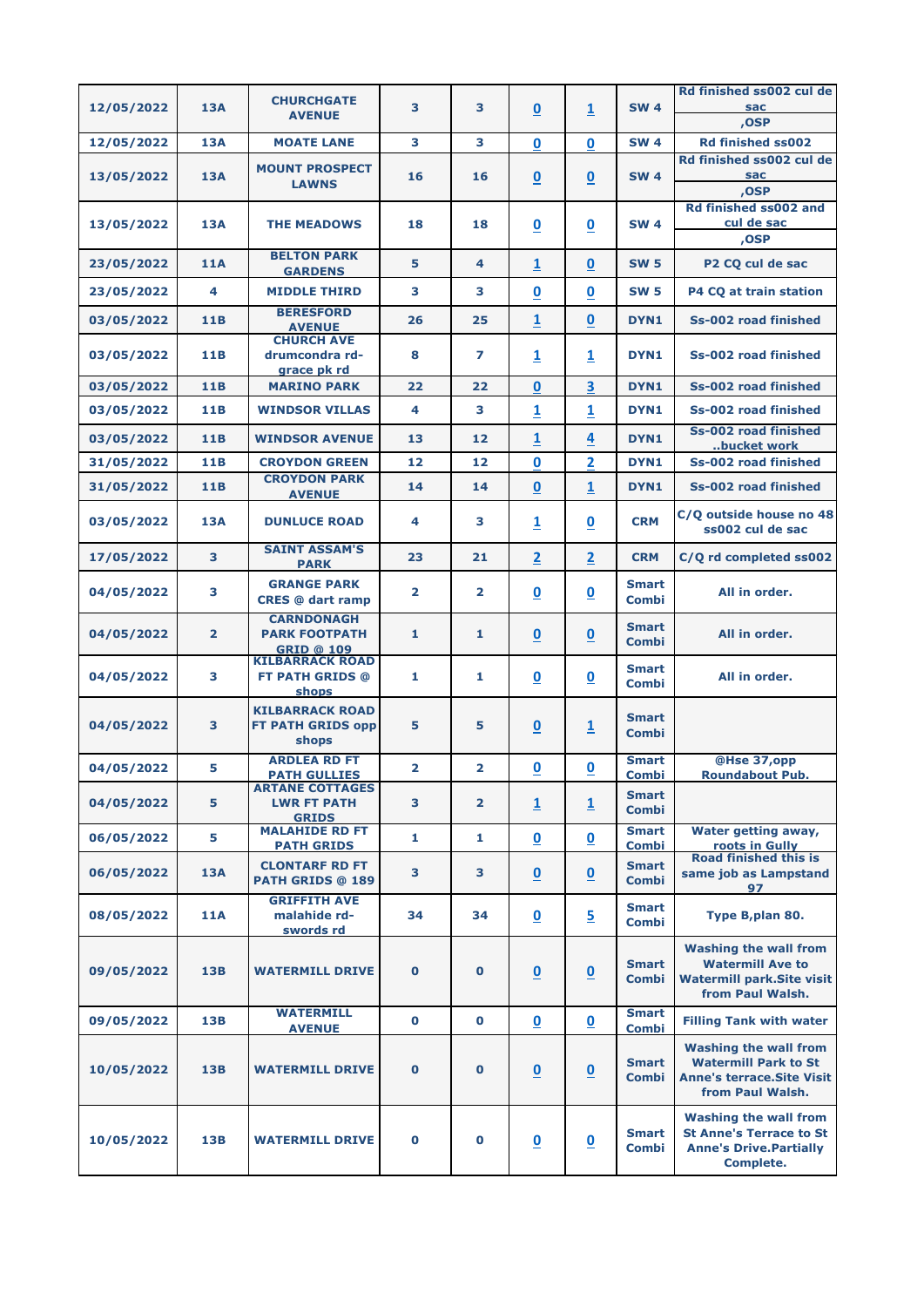|            |                | <b>CHURCHGATE</b>                                              |                         |                |                          |                          |                              | Rd finished ss002 cul de                                                                                             |
|------------|----------------|----------------------------------------------------------------|-------------------------|----------------|--------------------------|--------------------------|------------------------------|----------------------------------------------------------------------------------------------------------------------|
| 12/05/2022 | 13A            | <b>AVENUE</b>                                                  | 3                       | 3              | $\overline{\mathbf{0}}$  | 1                        | <b>SW 4</b>                  | <b>sac</b><br>,OSP                                                                                                   |
| 12/05/2022 | <b>13A</b>     | <b>MOATE LANE</b>                                              | 3                       | 3              | $\mathbf 0$              | 0                        | <b>SW 4</b>                  | <b>Rd finished ss002</b>                                                                                             |
| 13/05/2022 | <b>13A</b>     | <b>MOUNT PROSPECT</b><br><b>LAWNS</b>                          | 16                      | 16             | $\overline{\mathbf{0}}$  | $\overline{\mathbf{0}}$  | <b>SW 4</b>                  | Rd finished ss002 cul de<br>sac<br>,OSP                                                                              |
| 13/05/2022 | <b>13A</b>     | <b>THE MEADOWS</b>                                             | 18                      | 18             | $\underline{\mathbf{0}}$ | $\overline{\mathbf{0}}$  | <b>SW 4</b>                  | Rd finished ss002 and<br>cul de sac<br>,OSP                                                                          |
| 23/05/2022 | <b>11A</b>     | <b>BELTON PARK</b><br><b>GARDENS</b>                           | 5                       | 4              | $\overline{\mathbf{1}}$  | $\mathbf 0$              | <b>SW 5</b>                  | P2 CO cul de sac                                                                                                     |
| 23/05/2022 | 4              | <b>MIDDLE THIRD</b>                                            | 3                       | 3              | $\overline{\mathbf{0}}$  | $\overline{\mathbf{0}}$  | <b>SW 5</b>                  | P4 CQ at train station                                                                                               |
| 03/05/2022 | 11B            | <b>BERESFORD</b><br><b>AVENUE</b>                              | 26                      | 25             | 1                        | $\boldsymbol{0}$         | DYN1                         | <b>Ss-002 road finished</b>                                                                                          |
| 03/05/2022 | <b>11B</b>     | <b>CHURCH AVE</b><br>drumcondra rd-<br>grace pk rd             | 8                       | 7              | $\overline{\mathbf{1}}$  | $\overline{\mathbf{1}}$  | DYN1                         | Ss-002 road finished                                                                                                 |
| 03/05/2022 | 11B            | <b>MARINO PARK</b>                                             | 22                      | 22             | 0                        | 3                        | DYN1                         | Ss-002 road finished                                                                                                 |
| 03/05/2022 | 11B            | <b>WINDSOR VILLAS</b>                                          | 4                       | 3              | $\overline{\mathbf{1}}$  | $\overline{\mathbf{1}}$  | DYN1                         | <b>Ss-002 road finished</b>                                                                                          |
| 03/05/2022 | 11B            | <b>WINDSOR AVENUE</b>                                          | 13                      | 12             | 1                        | 4                        | DYN1                         | Ss-002 road finished<br>bucket work                                                                                  |
| 31/05/2022 | 11B            | <b>CROYDON GREEN</b>                                           | 12                      | 12             | $\mathbf 0$              | $\overline{\mathbf{2}}$  | DYN1                         | <b>Ss-002 road finished</b>                                                                                          |
| 31/05/2022 | <b>11B</b>     | <b>CROYDON PARK</b><br><b>AVENUE</b>                           | 14                      | 14             | $\mathbf 0$              | $\overline{\mathbf{1}}$  | DYN1                         | Ss-002 road finished                                                                                                 |
| 03/05/2022 | <b>13A</b>     | <b>DUNLUCE ROAD</b>                                            | 4                       | 3              | 1                        | $\overline{\mathbf{0}}$  | <b>CRM</b>                   | C/Q outside house no 48<br>ss002 cul de sac                                                                          |
| 17/05/2022 | 3              | <b>SAINT ASSAM'S</b><br><b>PARK</b>                            | 23                      | 21             | $\overline{2}$           | $\overline{\mathbf{2}}$  | <b>CRM</b>                   | C/Q rd completed ss002                                                                                               |
| 04/05/2022 | 3              | <b>GRANGE PARK</b><br><b>CRES</b> @ dart ramp                  | $\overline{2}$          | $\overline{2}$ | $\mathbf 0$              | $\underline{\mathbf{0}}$ | <b>Smart</b><br><b>Combi</b> | All in order.                                                                                                        |
| 04/05/2022 | $\overline{2}$ | <b>CARNDONAGH</b><br><b>PARK FOOTPATH</b><br><b>GRID @ 109</b> | 1                       | 1              | $\underline{\mathbf{0}}$ | $\underline{\mathbf{0}}$ | <b>Smart</b><br><b>Combi</b> | All in order.                                                                                                        |
| 04/05/2022 | 3              | <b>KILBARRACK ROAD</b><br><b>FT PATH GRIDS @</b><br>shops      | 1                       | 1              | $\underline{\mathbf{0}}$ | $\underline{\mathbf{0}}$ | <b>Smart</b><br><b>Combi</b> | All in order.                                                                                                        |
| 04/05/2022 | 3              | <b>KILBARRACK ROAD</b><br><b>FT PATH GRIDS opp</b><br>shops    | 5                       | 5              | $\overline{\mathbf{0}}$  | $\overline{\mathbf{1}}$  | <b>Smart</b><br><b>Combi</b> |                                                                                                                      |
| 04/05/2022 | 5              | <b>ARDLEA RD FT</b><br><b>PATH GULLIES</b>                     | $\overline{\mathbf{2}}$ | $\overline{2}$ | $\overline{\mathbf{0}}$  | $\underline{\mathbf{0}}$ | <b>Smart</b><br><b>Combi</b> | @Hse 37,opp<br><b>Roundabout Pub.</b>                                                                                |
| 04/05/2022 | 5              | <b>ARTANE COTTAGES</b><br><b>LWR FT PATH</b><br><b>GRIDS</b>   | 3                       | $\overline{2}$ | $\overline{\mathbf{1}}$  | $\overline{\mathbf{1}}$  | <b>Smart</b><br><b>Combi</b> |                                                                                                                      |
| 06/05/2022 | 5              | <b>MALAHIDE RD FT</b><br><b>PATH GRIDS</b>                     | 1                       | 1              | $\overline{\mathbf{0}}$  | $\underline{\mathbf{0}}$ | <b>Smart</b><br><b>Combi</b> | <b>Water getting away,</b><br>roots in Gully                                                                         |
| 06/05/2022 | <b>13A</b>     | <b>CLONTARF RD FT</b><br><b>PATH GRIDS @ 189</b>               | 3                       | 3              | $\underline{0}$          | $\underline{\mathbf{0}}$ | <b>Smart</b><br><b>Combi</b> | <b>Road finished this is</b><br>same job as Lampstand<br>97                                                          |
| 08/05/2022 | <b>11A</b>     | <b>GRIFFITH AVE</b><br>malahide rd-<br>swords rd               | 34                      | 34             | $\underline{\mathbf{0}}$ | $\overline{5}$           | <b>Smart</b><br><b>Combi</b> | Type B,plan 80.                                                                                                      |
| 09/05/2022 | <b>13B</b>     | <b>WATERMILL DRIVE</b>                                         | $\mathbf 0$             | $\bf{0}$       | $\underline{\mathbf{0}}$ | $\underline{\mathbf{0}}$ | <b>Smart</b><br><b>Combi</b> | <b>Washing the wall from</b><br><b>Watermill Ave to</b><br><b>Watermill park.Site visit</b><br>from Paul Walsh.      |
| 09/05/2022 | <b>13B</b>     | <b>WATERMILL</b><br><b>AVENUE</b>                              | $\mathbf 0$             | $\bf{0}$       | $\overline{\mathbf{0}}$  | $\underline{\mathbf{0}}$ | <b>Smart</b><br><b>Combi</b> | <b>Filling Tank with water</b>                                                                                       |
| 10/05/2022 | 13B            | <b>WATERMILL DRIVE</b>                                         | $\mathbf 0$             | $\mathbf 0$    | $\underline{\mathbf{0}}$ | $\underline{\mathbf{0}}$ | <b>Smart</b><br><b>Combi</b> | <b>Washing the wall from</b><br><b>Watermill Park to St</b><br><b>Anne's terrace. Site Visit</b><br>from Paul Walsh. |
| 10/05/2022 | <b>13B</b>     | <b>WATERMILL DRIVE</b>                                         | $\bf{0}$                | $\mathbf 0$    | $\underline{\mathbf{0}}$ | $\overline{\mathbf{0}}$  | <b>Smart</b><br><b>Combi</b> | <b>Washing the wall from</b><br><b>St Anne's Terrace to St</b><br><b>Anne's Drive. Partially</b><br><b>Complete.</b> |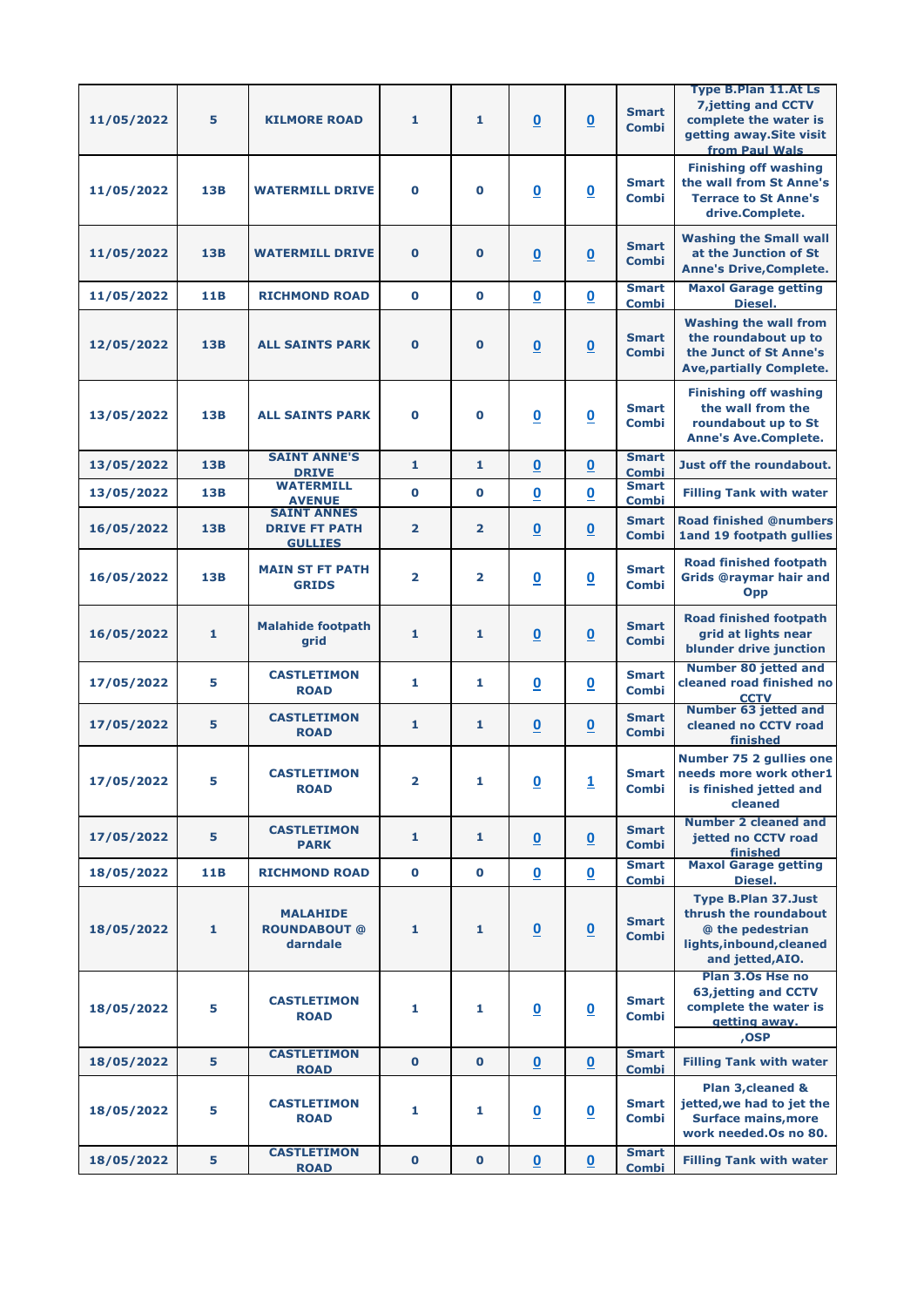| 11/05/2022 | 5            | <b>KILMORE ROAD</b>                                          | 1                       | $\mathbf{1}$   | $\overline{\mathbf{0}}$  | $\underline{\mathbf{0}}$ | <b>Smart</b><br><b>Combi</b> | <b>Type B.Plan 11.At Ls</b><br><b>7,jetting and CCTV</b><br>complete the water is<br>getting away. Site visit<br>from Paul Wals |
|------------|--------------|--------------------------------------------------------------|-------------------------|----------------|--------------------------|--------------------------|------------------------------|---------------------------------------------------------------------------------------------------------------------------------|
| 11/05/2022 | 13B          | <b>WATERMILL DRIVE</b>                                       | $\mathbf 0$             | $\bf{0}$       | $\underline{\mathbf{0}}$ | $\underline{\mathbf{0}}$ | <b>Smart</b><br><b>Combi</b> | <b>Finishing off washing</b><br>the wall from St Anne's<br><b>Terrace to St Anne's</b><br>drive.Complete.                       |
| 11/05/2022 | <b>13B</b>   | <b>WATERMILL DRIVE</b>                                       | $\bf{0}$                | $\bf{O}$       | $\underline{\mathbf{0}}$ | $\underline{\mathbf{0}}$ | <b>Smart</b><br><b>Combi</b> | <b>Washing the Small wall</b><br>at the Junction of St<br><b>Anne's Drive, Complete.</b>                                        |
| 11/05/2022 | 11B          | <b>RICHMOND ROAD</b>                                         | $\bf{0}$                | $\mathbf 0$    | $\overline{\mathbf{0}}$  | $\underline{\mathbf{0}}$ | <b>Smart</b><br><b>Combi</b> | <b>Maxol Garage getting</b><br>Diesel.                                                                                          |
| 12/05/2022 | <b>13B</b>   | <b>ALL SAINTS PARK</b>                                       | $\bf{O}$                | $\mathbf 0$    | $\underline{\mathbf{0}}$ | $\underline{\mathbf{0}}$ | <b>Smart</b><br><b>Combi</b> | <b>Washing the wall from</b><br>the roundabout up to<br>the Junct of St Anne's<br><b>Ave, partially Complete.</b>               |
| 13/05/2022 | <b>13B</b>   | <b>ALL SAINTS PARK</b>                                       | $\bf{0}$                | $\mathbf 0$    | $\overline{\mathbf{0}}$  | $\underline{\mathbf{0}}$ | <b>Smart</b><br><b>Combi</b> | <b>Finishing off washing</b><br>the wall from the<br>roundabout up to St<br><b>Anne's Ave.Complete.</b>                         |
| 13/05/2022 | <b>13B</b>   | <b>SAINT ANNE'S</b><br><b>DRIVE</b>                          | 1                       | $\mathbf{1}$   | $\mathbf 0$              | $\overline{\mathbf{0}}$  | <b>Smart</b><br><b>Combi</b> | Just off the roundabout.                                                                                                        |
| 13/05/2022 | <b>13B</b>   | <b>WATERMILL</b><br><b>AVENUE</b>                            | $\bf{0}$                | $\mathbf 0$    | $\overline{\mathbf{0}}$  | $\underline{\mathbf{0}}$ | <b>Smart</b><br><b>Combi</b> | <b>Filling Tank with water</b>                                                                                                  |
| 16/05/2022 | <b>13B</b>   | <b>SAINT ANNES</b><br><b>DRIVE FT PATH</b><br><b>GULLIES</b> | $\overline{2}$          | $\overline{2}$ | $\underline{\mathbf{0}}$ | $\underline{\mathbf{0}}$ | <b>Smart</b><br><b>Combi</b> | <b>Road finished @numbers</b><br>1and 19 footpath gullies                                                                       |
| 16/05/2022 | 13B          | <b>MAIN ST FT PATH</b><br><b>GRIDS</b>                       | $\overline{2}$          | $\overline{2}$ | $\underline{\mathbf{0}}$ | $\underline{\mathbf{0}}$ | <b>Smart</b><br><b>Combi</b> | <b>Road finished footpath</b><br><b>Grids @raymar hair and</b><br><b>Opp</b>                                                    |
| 16/05/2022 | $\mathbf 1$  | <b>Malahide footpath</b><br>grid                             | 1                       | 1              | $\overline{\mathbf{0}}$  | $\underline{\mathbf{0}}$ | <b>Smart</b><br><b>Combi</b> | <b>Road finished footpath</b><br>grid at lights near<br>blunder drive junction                                                  |
| 17/05/2022 | 5            | <b>CASTLETIMON</b><br><b>ROAD</b>                            | 1                       | 1              | $\underline{\mathbf{0}}$ | $\overline{\mathbf{0}}$  | <b>Smart</b><br><b>Combi</b> | <b>Number 80 jetted and</b><br>cleaned road finished no<br><b>CCTV</b>                                                          |
| 17/05/2022 | 5            | <b>CASTLETIMON</b><br><b>ROAD</b>                            | 1                       | $\mathbf{1}$   | $\underline{\mathbf{0}}$ | $\underline{\mathbf{0}}$ | <b>Smart</b><br><b>Combi</b> | <b>Number 63 jetted and</b><br>cleaned no CCTV road<br>finished                                                                 |
| 17/05/2022 | 5            | <b>CASTLETIMON</b><br><b>ROAD</b>                            | $\overline{\mathbf{2}}$ | 1              | $\overline{\mathbf{0}}$  | $\overline{1}$           | <b>Smart</b><br><b>Combi</b> | Number 75 2 gullies one<br>needs more work other1<br>is finished jetted and<br>cleaned                                          |
| 17/05/2022 | 5            | <b>CASTLETIMON</b><br><b>PARK</b>                            | 1                       | 1              | $\underline{\mathbf{0}}$ | $\underline{\mathbf{0}}$ | <b>Smart</b><br><b>Combi</b> | Number 2 cleaned and<br>jetted no CCTV road<br>finished                                                                         |
| 18/05/2022 | 11B          | <b>RICHMOND ROAD</b>                                         | $\mathbf 0$             | $\mathbf 0$    | $\underline{\mathbf{0}}$ | $\overline{\mathbf{0}}$  | <b>Smart</b><br><b>Combi</b> | <b>Maxol Garage getting</b><br>Diesel.                                                                                          |
| 18/05/2022 | $\mathbf{1}$ | <b>MALAHIDE</b><br><b>ROUNDABOUT @</b><br>darndale           | 1                       | $\mathbf{1}$   | $\underline{\mathbf{0}}$ | $\underline{\mathbf{0}}$ | <b>Smart</b><br><b>Combi</b> | <b>Type B.Plan 37.Just</b><br>thrush the roundabout<br>@ the pedestrian<br>lights, inbound, cleaned<br>and jetted, AIO.         |
| 18/05/2022 | 5            | <b>CASTLETIMON</b><br><b>ROAD</b>                            | 1                       | 1              | $\underline{\mathbf{0}}$ | $\overline{\mathbf{0}}$  | <b>Smart</b><br><b>Combi</b> | Plan 3.0s Hse no<br><b>63, jetting and CCTV</b><br>complete the water is<br>getting away.<br>,OSP                               |
| 18/05/2022 | 5            | <b>CASTLETIMON</b><br><b>ROAD</b>                            | $\mathbf 0$             | $\mathbf 0$    | $\underline{\mathbf{0}}$ | $\underline{\mathbf{0}}$ | <b>Smart</b><br><b>Combi</b> | <b>Filling Tank with water</b>                                                                                                  |
| 18/05/2022 | 5            | <b>CASTLETIMON</b><br><b>ROAD</b>                            | 1                       | 1              | $\underline{\mathbf{0}}$ | $\underline{\mathbf{0}}$ | <b>Smart</b><br><b>Combi</b> | Plan 3, cleaned &<br>jetted, we had to jet the<br><b>Surface mains, more</b><br>work needed. Os no 80.                          |
| 18/05/2022 | 5            | <b>CASTLETIMON</b><br><b>ROAD</b>                            | $\bf{0}$                | $\mathbf 0$    | $\underline{\mathbf{0}}$ | $\underline{\mathbf{0}}$ | <b>Smart</b><br><b>Combi</b> | <b>Filling Tank with water</b>                                                                                                  |